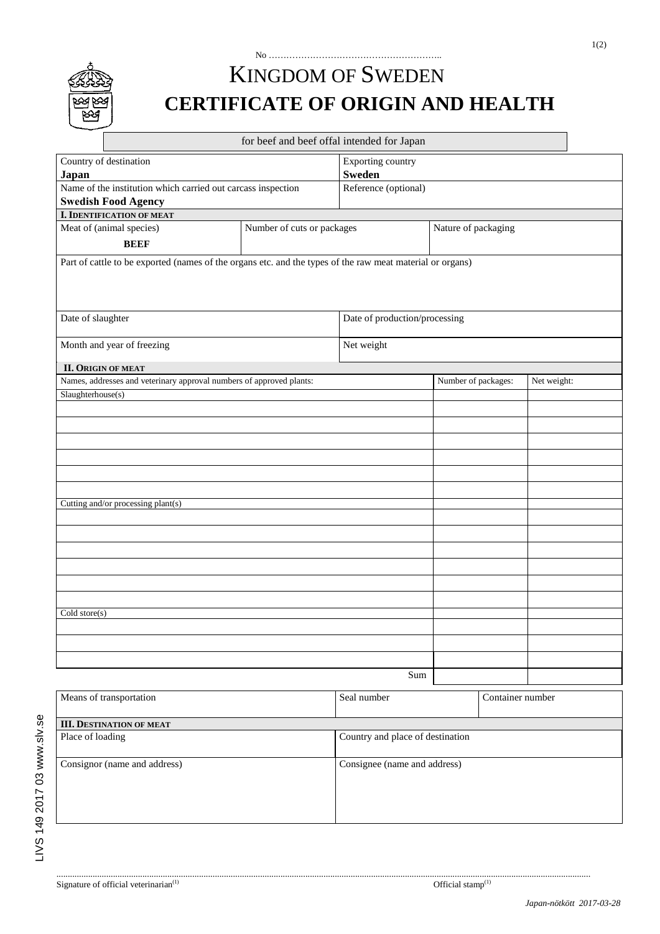

## No ………………………………………………….. KINGDOM OF SWEDEN **CERTIFICATE OF ORIGIN AND HEALTH**

|                                                                                                           |                            | for beef and beef offal intended for Japan |                                  |             |  |
|-----------------------------------------------------------------------------------------------------------|----------------------------|--------------------------------------------|----------------------------------|-------------|--|
| Country of destination                                                                                    |                            |                                            | <b>Exporting country</b>         |             |  |
| Japan                                                                                                     |                            |                                            | <b>Sweden</b>                    |             |  |
| Name of the institution which carried out carcass inspection                                              |                            | Reference (optional)                       |                                  |             |  |
| <b>Swedish Food Agency</b>                                                                                |                            |                                            |                                  |             |  |
| <b>I. IDENTIFICATION OF MEAT</b>                                                                          |                            |                                            |                                  |             |  |
| Meat of (animal species)                                                                                  | Number of cuts or packages |                                            | Nature of packaging              |             |  |
| <b>BEEF</b>                                                                                               |                            |                                            |                                  |             |  |
| Part of cattle to be exported (names of the organs etc. and the types of the raw meat material or organs) |                            |                                            |                                  |             |  |
| Date of slaughter                                                                                         |                            | Date of production/processing              |                                  |             |  |
| Month and year of freezing                                                                                |                            |                                            | Net weight                       |             |  |
| <b>II. ORIGIN OF MEAT</b>                                                                                 |                            |                                            |                                  |             |  |
| Names, addresses and veterinary approval numbers of approved plants:                                      |                            |                                            | Number of packages:              | Net weight: |  |
| Slaughterhouse(s)                                                                                         |                            |                                            |                                  |             |  |
|                                                                                                           |                            |                                            |                                  |             |  |
|                                                                                                           |                            |                                            |                                  |             |  |
|                                                                                                           |                            |                                            |                                  |             |  |
|                                                                                                           |                            |                                            |                                  |             |  |
|                                                                                                           |                            |                                            |                                  |             |  |
|                                                                                                           |                            |                                            |                                  |             |  |
| Cutting and/or processing plant(s)                                                                        |                            |                                            |                                  |             |  |
|                                                                                                           |                            |                                            |                                  |             |  |
|                                                                                                           |                            |                                            |                                  |             |  |
|                                                                                                           |                            |                                            |                                  |             |  |
|                                                                                                           |                            |                                            |                                  |             |  |
|                                                                                                           |                            |                                            |                                  |             |  |
|                                                                                                           |                            |                                            |                                  |             |  |
| Cold store(s)                                                                                             |                            |                                            |                                  |             |  |
|                                                                                                           |                            |                                            |                                  |             |  |
|                                                                                                           |                            |                                            |                                  |             |  |
|                                                                                                           |                            |                                            |                                  |             |  |
|                                                                                                           |                            | Sum                                        |                                  |             |  |
| Means of transportation                                                                                   |                            |                                            | Container number                 |             |  |
| <b>III. DESTINATION OF MEAT</b>                                                                           |                            |                                            |                                  |             |  |
| Place of loading                                                                                          |                            |                                            | Country and place of destination |             |  |
| Consignor (name and address)                                                                              |                            | Consignee (name and address)               |                                  |             |  |